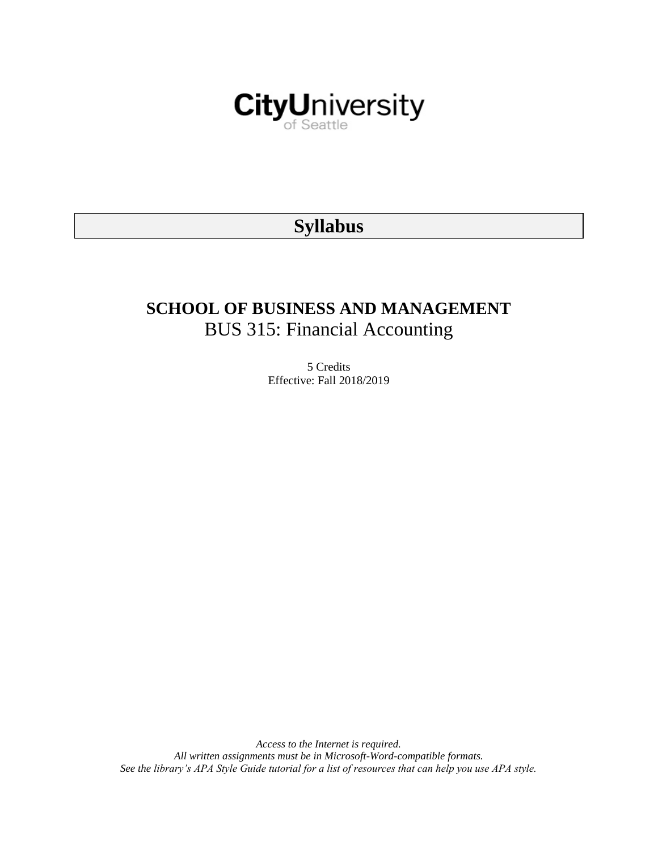

# **Syllabus**

# **SCHOOL OF BUSINESS AND MANAGEMENT** BUS 315: Financial Accounting

5 Credits Effective: Fall 2018/2019

*Access to the Internet is required. All written assignments must be in Microsoft-Word-compatible formats. See the library's APA Style Guide tutorial for a list of resources that can help you use APA style.*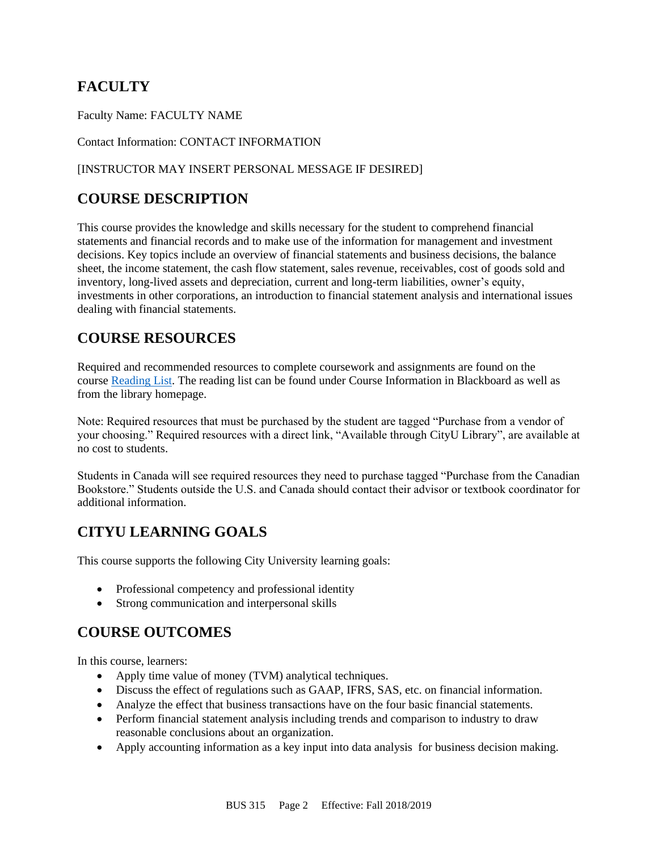# **FACULTY**

Faculty Name: FACULTY NAME

Contact Information: CONTACT INFORMATION

### [INSTRUCTOR MAY INSERT PERSONAL MESSAGE IF DESIRED]

# **COURSE DESCRIPTION**

This course provides the knowledge and skills necessary for the student to comprehend financial statements and financial records and to make use of the information for management and investment decisions. Key topics include an overview of financial statements and business decisions, the balance sheet, the income statement, the cash flow statement, sales revenue, receivables, cost of goods sold and inventory, long-lived assets and depreciation, current and long-term liabilities, owner's equity, investments in other corporations, an introduction to financial statement analysis and international issues dealing with financial statements.

# **COURSE RESOURCES**

Required and recommended resources to complete coursework and assignments are found on the course [Reading List.](https://nam03.safelinks.protection.outlook.com/?url=https%3A%2F%2Fcityu.alma.exlibrisgroup.com%2Fleganto%2Flogin%3Fauth%3DSAML&data=04%7C01%7CMMara%40cityu.edu%7C70673ce0fe0144040eda08d87472e204%7Cb3fa96d9f5154662add763d854e39e63%7C1%7C0%7C637387384066198115%7CUnknown%7CTWFpbGZsb3d8eyJWIjoiMC4wLjAwMDAiLCJQIjoiV2luMzIiLCJBTiI6Ik1haWwiLCJXVCI6Mn0%3D%7C1000&sdata=JbwP%2Fm5Q%2BMgIUWa%2FXceos%2BoiLv0DX%2B%2FL%2BNGNMbX9P8E%3D&reserved=0) The reading list can be found under Course Information in Blackboard as well as from the library homepage.

Note: Required resources that must be purchased by the student are tagged "Purchase from a vendor of your choosing." Required resources with a direct link, "Available through CityU Library", are available at no cost to students.

Students in Canada will see required resources they need to purchase tagged "Purchase from the Canadian Bookstore." Students outside the U.S. and Canada should contact their advisor or textbook coordinator for additional information.

# **CITYU LEARNING GOALS**

This course supports the following City University learning goals:

- Professional competency and professional identity
- Strong communication and interpersonal skills

# **COURSE OUTCOMES**

In this course, learners:

- Apply time value of money (TVM) analytical techniques.
- Discuss the effect of regulations such as GAAP, IFRS, SAS, etc. on financial information.
- Analyze the effect that business transactions have on the four basic financial statements.
- Perform financial statement analysis including trends and comparison to industry to draw reasonable conclusions about an organization.
- Apply accounting information as a key input into data analysis for business decision making.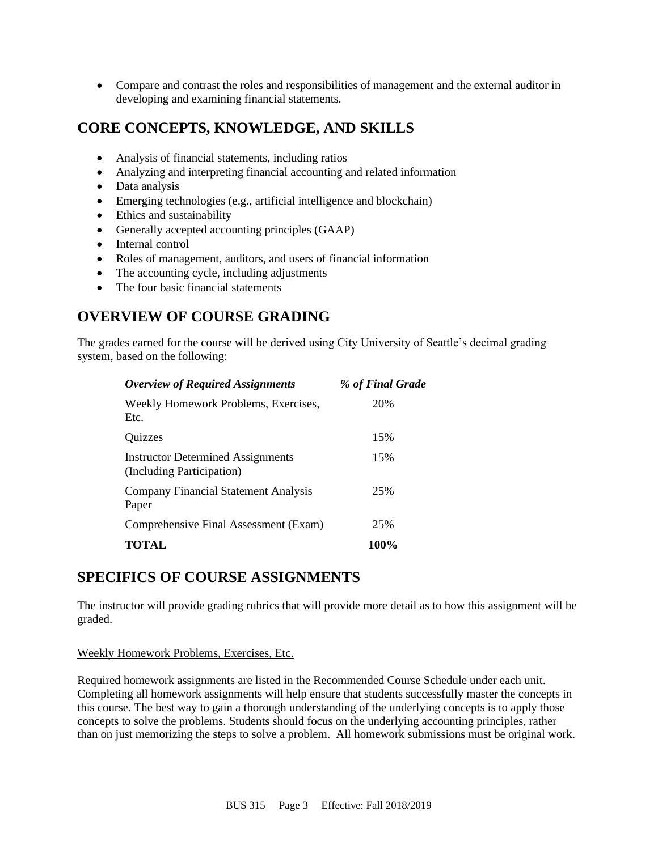• Compare and contrast the roles and responsibilities of management and the external auditor in developing and examining financial statements.

# **CORE CONCEPTS, KNOWLEDGE, AND SKILLS**

- Analysis of financial statements, including ratios
- Analyzing and interpreting financial accounting and related information
- Data analysis
- Emerging technologies (e.g., artificial intelligence and blockchain)
- Ethics and sustainability
- Generally accepted accounting principles (GAAP)
- Internal control
- Roles of management, auditors, and users of financial information
- The accounting cycle, including adjustments
- The four basic financial statements

# **OVERVIEW OF COURSE GRADING**

The grades earned for the course will be derived using City University of Seattle's decimal grading system, based on the following:

| <b>Overview of Required Assignments</b>                               | % of Final Grade |
|-----------------------------------------------------------------------|------------------|
| Weekly Homework Problems, Exercises,<br>Etc.                          | 20%              |
| Quizzes                                                               | 15%              |
| <b>Instructor Determined Assignments</b><br>(Including Participation) | 15%              |
| <b>Company Financial Statement Analysis</b><br>Paper                  | 25%              |
| Comprehensive Final Assessment (Exam)                                 | 25%              |
| <b>TOTAL</b>                                                          | 100%             |

### **SPECIFICS OF COURSE ASSIGNMENTS**

The instructor will provide grading rubrics that will provide more detail as to how this assignment will be graded.

### Weekly Homework Problems, Exercises, Etc.

Required homework assignments are listed in the Recommended Course Schedule under each unit. Completing all homework assignments will help ensure that students successfully master the concepts in this course. The best way to gain a thorough understanding of the underlying concepts is to apply those concepts to solve the problems. Students should focus on the underlying accounting principles, rather than on just memorizing the steps to solve a problem. All homework submissions must be original work.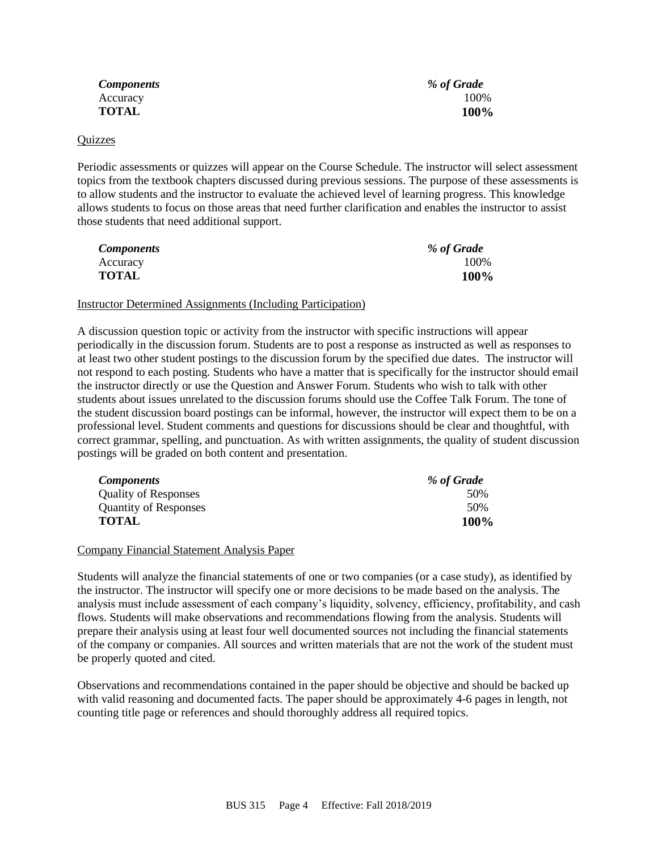*Components % of Grade*

Accuracy 100% **TOTAL 100%**

#### Quizzes

Periodic assessments or quizzes will appear on the Course Schedule. The instructor will select assessment topics from the textbook chapters discussed during previous sessions. The purpose of these assessments is to allow students and the instructor to evaluate the achieved level of learning progress. This knowledge allows students to focus on those areas that need further clarification and enables the instructor to assist those students that need additional support.

| <b>Components</b> | % of Grade |
|-------------------|------------|
| Accuracy          | 100%       |
| <b>TOTAL</b>      | 100%       |

#### Instructor Determined Assignments (Including Participation)

A discussion question topic or activity from the instructor with specific instructions will appear periodically in the discussion forum. Students are to post a response as instructed as well as responses to at least two other student postings to the discussion forum by the specified due dates. The instructor will not respond to each posting. Students who have a matter that is specifically for the instructor should email the instructor directly or use the Question and Answer Forum. Students who wish to talk with other students about issues unrelated to the discussion forums should use the Coffee Talk Forum. The tone of the student discussion board postings can be informal, however, the instructor will expect them to be on a professional level. Student comments and questions for discussions should be clear and thoughtful, with correct grammar, spelling, and punctuation. As with written assignments, the quality of student discussion postings will be graded on both content and presentation.

| <b>Components</b>            | % of Grade  |
|------------------------------|-------------|
| <b>Quality of Responses</b>  | 50%         |
| <b>Quantity of Responses</b> | 50%         |
| <b>TOTAL</b>                 | <b>100%</b> |

#### Company Financial Statement Analysis Paper

Students will analyze the financial statements of one or two companies (or a case study), as identified by the instructor. The instructor will specify one or more decisions to be made based on the analysis. The analysis must include assessment of each company's liquidity, solvency, efficiency, profitability, and cash flows. Students will make observations and recommendations flowing from the analysis. Students will prepare their analysis using at least four well documented sources not including the financial statements of the company or companies. All sources and written materials that are not the work of the student must be properly quoted and cited.

Observations and recommendations contained in the paper should be objective and should be backed up with valid reasoning and documented facts. The paper should be approximately 4-6 pages in length, not counting title page or references and should thoroughly address all required topics.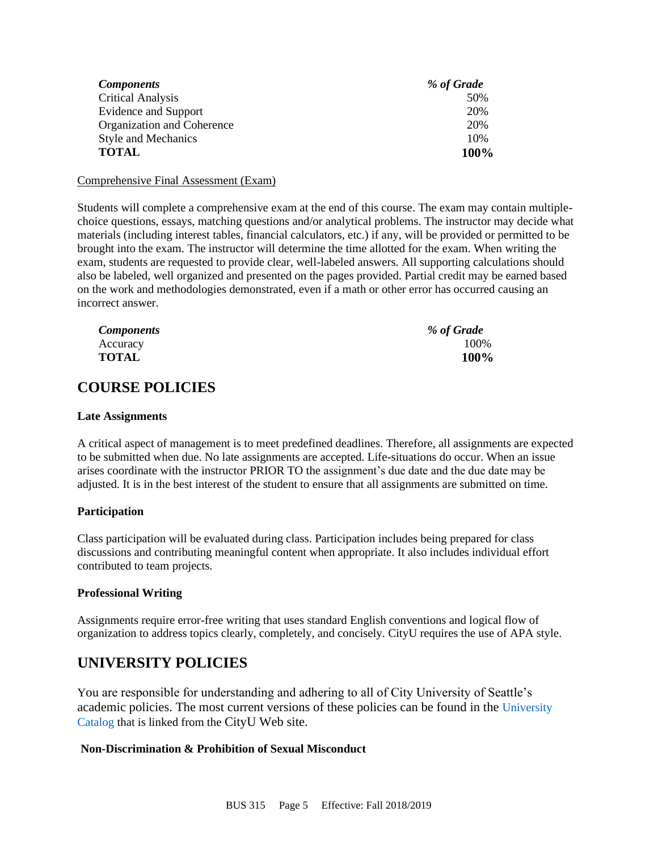| <b>Components</b>          | % of Grade |
|----------------------------|------------|
| <b>Critical Analysis</b>   | 50%        |
| Evidence and Support       | 20%        |
| Organization and Coherence | 20%        |
| <b>Style and Mechanics</b> | 10%        |
| <b>TOTAL</b>               | 100%       |

#### Comprehensive Final Assessment (Exam)

Students will complete a comprehensive exam at the end of this course. The exam may contain multiplechoice questions, essays, matching questions and/or analytical problems. The instructor may decide what materials (including interest tables, financial calculators, etc.) if any, will be provided or permitted to be brought into the exam. The instructor will determine the time allotted for the exam. When writing the exam, students are requested to provide clear, well-labeled answers. All supporting calculations should also be labeled, well organized and presented on the pages provided. Partial credit may be earned based on the work and methodologies demonstrated, even if a math or other error has occurred causing an incorrect answer.

| <b>Components</b> | % of Grade |
|-------------------|------------|
| Accuracy          | 100%       |
| <b>TOTAL</b>      | 100%       |

# **COURSE POLICIES**

#### **Late Assignments**

A critical aspect of management is to meet predefined deadlines. Therefore, all assignments are expected to be submitted when due. No late assignments are accepted. Life-situations do occur. When an issue arises coordinate with the instructor PRIOR TO the assignment's due date and the due date may be adjusted. It is in the best interest of the student to ensure that all assignments are submitted on time.

### **Participation**

Class participation will be evaluated during class. Participation includes being prepared for class discussions and contributing meaningful content when appropriate. It also includes individual effort contributed to team projects.

### **Professional Writing**

Assignments require error-free writing that uses standard English conventions and logical flow of organization to address topics clearly, completely, and concisely. CityU requires the use of APA style.

# **UNIVERSITY POLICIES**

You are responsible for understanding and adhering to all of City University of Seattle's academic policies. The most current versions of these policies can be found in the [University](https://www.cityu.edu/catalog/)  [Catalog](https://www.cityu.edu/catalog/) that is linked from the CityU Web site.

### **Non-Discrimination & Prohibition of Sexual Misconduct**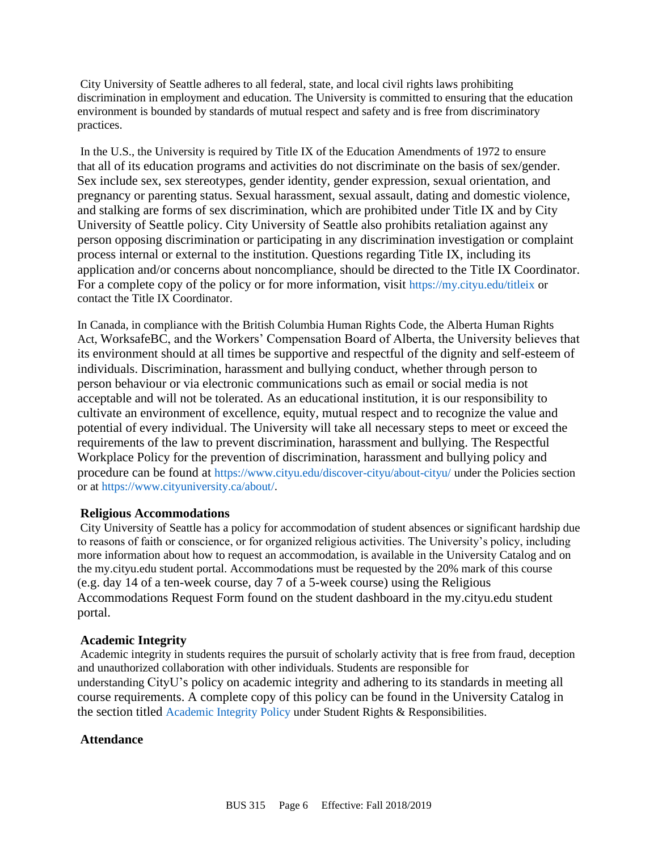City University of Seattle adheres to all federal, state, and local civil rights laws prohibiting discrimination in employment and education. The University is committed to ensuring that the education environment is bounded by standards of mutual respect and safety and is free from discriminatory practices.

In the U.S., the University is required by Title IX of the Education Amendments of 1972 to ensure that all of its education programs and activities do not discriminate on the basis of sex/gender. Sex include sex, sex stereotypes, gender identity, gender expression, sexual orientation, and pregnancy or parenting status. Sexual harassment, sexual assault, dating and domestic violence, and stalking are forms of sex discrimination, which are prohibited under Title IX and by City University of Seattle policy. City University of Seattle also prohibits retaliation against any person opposing discrimination or participating in any discrimination investigation or complaint process internal or external to the institution. Questions regarding Title IX, including its application and/or concerns about noncompliance, should be directed to the Title IX Coordinator. For a complete copy of the policy or for more information, visit <https://my.cityu.edu/titleix> or contact the Title IX Coordinator.

In Canada, in compliance with the British Columbia Human Rights Code, the Alberta Human Rights Act, WorksafeBC, and the Workers' Compensation Board of Alberta, the University believes that its environment should at all times be supportive and respectful of the dignity and self-esteem of individuals. Discrimination, harassment and bullying conduct, whether through person to person behaviour or via electronic communications such as email or social media is not acceptable and will not be tolerated. As an educational institution, it is our responsibility to cultivate an environment of excellence, equity, mutual respect and to recognize the value and potential of every individual. The University will take all necessary steps to meet or exceed the requirements of the law to prevent discrimination, harassment and bullying. The Respectful Workplace Policy for the prevention of discrimination, harassment and bullying policy and procedure can be found at <https://www.cityu.edu/discover-cityu/about-cityu/> under the Policies section or at <https://www.cityuniversity.ca/about/>.

### **Religious Accommodations**

City University of Seattle has a policy for accommodation of student absences or significant hardship due to reasons of faith or conscience, or for organized religious activities. The University's policy, including more information about how to request an accommodation, is available in the University Catalog and on the my.cityu.edu student portal. Accommodations must be requested by the 20% mark of this course (e.g. day 14 of a ten-week course, day 7 of a 5-week course) using the Religious Accommodations Request Form found on the student dashboard in the my.cityu.edu student portal.

#### **Academic Integrity**

Academic integrity in students requires the pursuit of scholarly activity that is free from fraud, deception and unauthorized collaboration with other individuals. Students are responsible for understanding CityU's policy on academic integrity and adhering to its standards in meeting all course requirements. A complete copy of this policy can be found in the University Catalog in the section titled [Academic Integrity Policy](https://www.cityu.edu/catalog/;) under Student Rights & Responsibilities.

#### **Attendance**